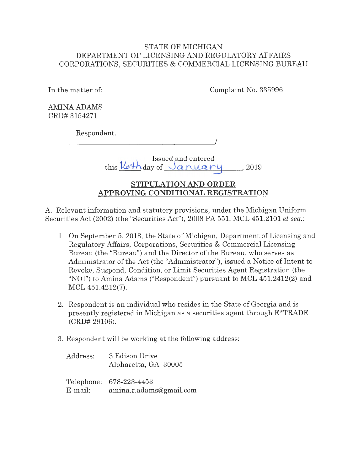## STATE OF MICHIGAN DEPARTMENT OF LICENSING AND REGULATORY AFFAIRS CORPORATIONS, SECURITIES & COMMERCIAL LICENSING BUREAU

In the matter of: Complaint No. 335996

AMINA ADAMS CRD# 3154271

Respondent.

--------------------I

Issued and entered<br>this  $\frac{1}{6}$  day of  $\frac{1}{2}$   $\frac{1}{2019}$ 

# **STIPULATION AND ORDER APPROVING CONDITIONAL REGISTRATION**

A. Relevant information and statutory provisions, under the Michigan Uniform Securities Act (2002) (the "Securities Act"), 2008 PA 551, MCL 451.2101 *et seq.:* 

- 1. On September 5, 2018, the State of Michigan, Department of Licensing and Regulatory Affairs, Corporations, Securities & Commercial Licensing Bureau (the "Bureau") and the Director of the Bureau, who serves as Administrator of the Act (the "Administrator"), issued a Notice of Intent to Revoke, Suspend, Condition, or Limit Securities Agent Registration (the "NOI") to Amina Adams ("Respondent") pursuant to MCL 451.2412(2) and MCL 451.4212(7).
- 2. Respondent is an individual who resides in the State of Georgia and is presently registered in Michigan as a securities agent through E\*TRADE (CRD# 29106).
- 3. Respondent will be working at the following address:

| Address: | 3 Edison Drive<br>Alpharetta, GA 30005             |
|----------|----------------------------------------------------|
| E-mail:  | Telephone: 678-223-4453<br>amina.r.adams@gmail.com |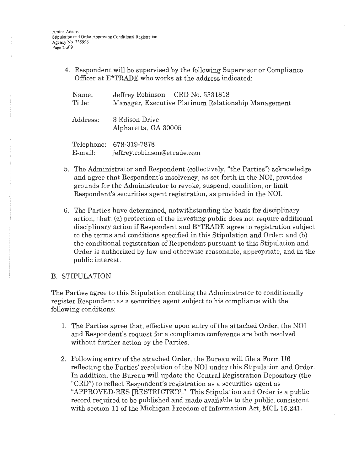4. Respondent will be supervised by the following Supervisor or Compliance Officer at E\*TRADE who works at the address indicated:

| Name:<br>Title: | Jeffrey Robinson CRD No. 5331818<br>Manager, Executive Platinum Relationship Management |
|-----------------|-----------------------------------------------------------------------------------------|
| Address:        | 3 Edison Drive<br>Alpharetta, GA 30005                                                  |
|                 | Telephone: 678-319-7878<br>E-mail: jeffrey.robinson@etrade.com                          |

- 5. The Administrator and Respondent (collectively, "the Parties") acknowledge and agree that Respondent's insolvency, as set forth in the NOI, provides grounds for the Administrator to revoke, suspend, condition, or limit Respondent's securities agent registration, as provided in the NOI.
- 6. The Parties have determined, notwithstanding the basis for disciplinary action, that: (a) protection of the investing public does not require additional disciplinary action if Respondent and E\*TRADE agree to registration subject to the terms and conditions specified in this Stipulation and Order; and (b) the conditional registration of Respondent pursuant to this Stipulation and Order is authorized by law and otherwise reasonable, appropriate, and in the public interest.

### B. STIPULATION

The Parties agree to this Stipulation enabling the Administrator to conditionally register Respondent as a securities agent subject to his compliance with the following conditions:

- 1. The Parties agree that, effective upon entry of the attached Order, the NOI and Respondent's request for a compliance conference are both resolved without further action by the Parties.
- 2. Following entry of the attached Order, the Bureau will file a Form U6 reflecting the Parties' resolution of the NOI under this Stipulation and Order. In addition, the Bureau will update the Central Registration Depository (the "CRD") to reflect Respondent's registration as a securities agent as "APPROVED-RES [RESTRICTED]." This Stipulation and Order is a public record required to be published and made available to the public, consistent with section 11 of the Michigan Freedom of Information Act, MCL 15.241.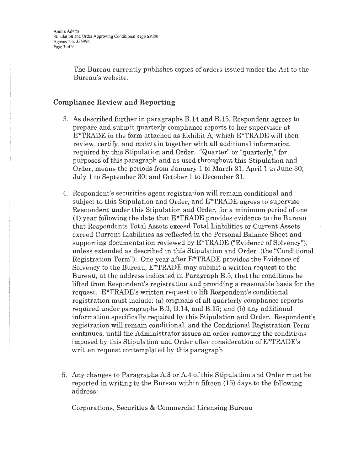The Bureau currently publishes copies of orders issued under the Act to the Bureau's website.

#### **Compliance Review and Reporting**

- 3. As described further in paragraphs B.14 and B.15, Respondent agrees to prepare and submit quarterly compliance reports to her supervisor at E\*TRADE in the form attached as Exhibit A, which E\*TRADE will then review, certify, and maintain together with all additional information required by this Stipulation and Order. "Quarter" or "quarterly," for purposes of this paragraph and as used throughout this Stipulation and Order, means the periods from January 1 to March 31; April 1 to June 30; July **1** to September 30; and October 1 to December 31.
- 4. Respondent's securities agent registration will remain conditional and subject to this Stipulation and Order, and E\*TRADE agrees to supervise Respondent under this Stipulation and Order, for a minimum period of one **(1)** year following the date that E\*TRADE provides evidence to the Bureau that Respondents Total Assets exceed Total Liabilities or Current Assets exceed Current Liabilities as reflected in the Personal Balance Sheet and supporting documentation reviewed by E\*TRADE ("Evidence of Solvency"), unless extended as described in this Stipulation and Order (the "Conditional Registration Term"). One year after E\*TRADE provides the Evidence of Solvency to the Bureau,  $E^*$ TRADE may submit a written request to the Bureau, at the address indicated in Paragraph B.5, that the conditions be lifted from Respondent's registration and providing a reasonable basis for the request. E\*TRADE's written request to lift Respondent's conditional registration must include: (a) originals of all quarterly compliance reports required under paragraphs B.3, B.14, and B.15; and (b) any additional information specifically required by this Stipulation and Order. Respondent's registration will remain conditional, and the Conditional Registration Term continues, until the Administrator issues an order removing the conditions imposed by this Stipulation and Order after consideration of E\*TRADE's written request contemplated by this paragraph.
- 5. Any changes to Paragraphs A.3 or A.4 of this Stipulation and Order must be reported in writing to the Bureau within fifteen (15) days to the following address:

Corporations, Securities & Commercial Licensing Bureau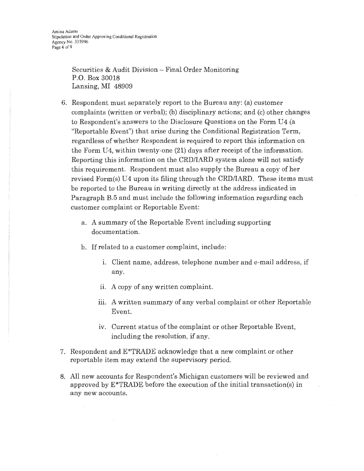Securities & Audit Division - Final Order Monitoring P.O. Box 30018 Lansing, MI 48909

- 6. Respondent must separately report to the Bureau any: (a) customer complaints (written or verbal); (b) disciplinary actions; and (c) other changes to Respondent's answers to the Disclosure Questions on the Form U4 (a "Reportable Event") that arise during the Conditional Registration Term, regardless of whether Respondent is required to report this information on the Form U4, within twenty-one (21) days after receipt of the information. Reporting this information on the CRD/IARD system alone will not satisfy this requirement. Respondent must also supply the Bureau a copy of her revised Form(s) U4 upon its filing through the CRD/IARD. These items must be reported to the Bureau in writing directly at the address indicated in Paragraph B.5 and must include the following information regarding each customer complaint or Reportable Event:
	- a. A summary of the Reportable Event including supporting documentation.
	- b. If related to a customer complaint, include:
		- 1. Client name, address, telephone number and e-mail address, if any.
		- ii. A copy of any written complaint.
		- iii. A written summary of any verbal complaint or other Reportable Event.
		- iv. Current status of the complaint or other Reportable Event, including the resolution, if any.
- 7. Respondent and E\*TRADE acknowledge that a new complaint or other reportable item may extend the supervisory period.
- 8. All new accounts for Respondent's Michigan customers will be reviewed and approved by E\*TRADE before the execution of the initial transaction(s) in any new accounts.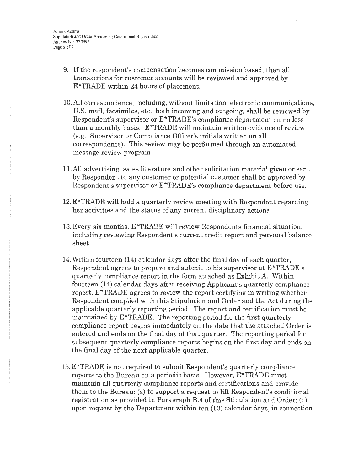Amina Adams Stipulation and Order Approving Conditional Registration Agency No. 335996 Page 5 of 9

- 9. If the respondent's compensation becomes commission based, then all transactions for customer accounts will be reviewed and approved by E\*TRADE within 24 hours of placement.
- IO.All correspondence, including, without limitation, electronic communications, U.S. mail, facsimiles, etc., both incoming and outgoing, shall be reviewed by Respondent's supervisor or E\*TRADE's compliance department on no less than a monthly basis. E\*TRADE will maintain written evidence of review (e.g., Supervisor or Compliance Officer's initials written on all correspondence). This review may be performed through an automated message review program.
- 11.All advertising, sales literature and other solicitation material given or sent by Respondent to any customer or potential customer shall be approved by Respondent's supervisor or E\*TRADE's compliance department before use.
- 12. E\*TRADE will hold a quarterly review meeting with Respondent regarding her activities and the status of any current disciplinary actions.
- 13. Every six months, E\*TRADE will review Respondents financial situation, including reviewing Respondent's current credit report and personal balance sheet.
- 14. Within fourteen (14) calendar days after the final day of each quarter, Respondent agrees to prepare and submit to his supervisor at E\*TRADE a quarterly compliance report in the form attached as Exhibit A. Within fourteen (14) calendar days after receiving Applicant's quarterly compliance report, E\*TRADE agrees to review the report certifying in writing whether Respondent complied with this Stipulation and Order and the Act during the applicable quarterly reporting period. The report and certification must be maintained by E\*TRADE. The reporting period for the first quarterly compliance report begins immediately on the date that the attached Order is entered and ends on the final day of that quarter. The reporting period for subsequent quarterly compliance reports begins on the first day and ends on the final day of the next applicable quarter.
- 15. E\*TRADE is not required to submit Respondent's quarterly compliance reports to the Bureau on a periodic basis. However, E\*TRADE must maintain all quarterly compliance reports and certifications and provide them to the Bureau: (a) to support a request to lift Respondent's conditional registration as provided in Paragraph B.4 of this Stipulation and Order; (b) upon request by the Department within ten (10) calendar days, in connection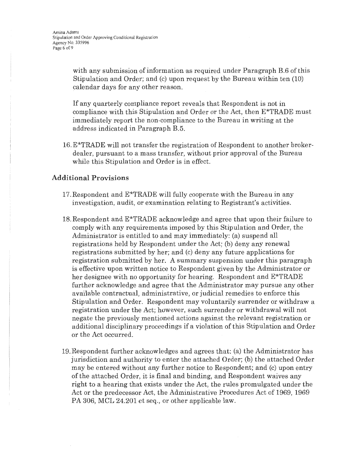with any submission of information as required under Paragraph B.6 of this Stipulation and Order; and (c) upon request by the Bureau within ten (10) calendar days for any other reason.

If any quarterly compliance report reveals that Respondent is not in compliance with this Stipulation and Order or the Act, then E\*TRADE must immediately report the non-compliance to the Bureau in writing at the address indicated in Paragraph B.5.

16. E\*TRADE will not transfer the registration of Respondent to another brokerdealer, pursuant to a mass transfer, without prior approval of the Bureau while this Stipulation and Order is in effect.

#### **Additional Provisions**

- 17. Respondent and E\*TRADE will fully cooperate with the Bureau in any investigation, audit, or examination relating to Registrant's activities.
- IS.Respondent and E\*TRADE acknowledge and agree that upon their failure to comply with any requirements imposed by this Stipulation and Order, the Administrator is entitled to and may immediately: (a) suspend all registrations held by Respondent under the Act; (b) deny any renewal registrations submitted by her; and (c) deny any future applications for registration submitted by her. A summary suspension under this paragraph is effective upon written notice to Respondent given by the Administrator or her designee with no opportunity for hearing. Respondent and E\*TRADE further acknowledge and agree that the Administrator may pursue any other available contractual, administrative, or judicial remedies to enforce this Stipulation and Order. Respondent may voluntarily surrender or withdraw a registration under the Act; however, such surrender or withdrawal will not negate the previously mentioned actions against the relevant registration or additional disciplinary proceedings if a violation of this Stipulation and Order or the Act occurred.
- 19.Respondent further acknowledges and agrees that: (a) the Administrator has jurisdiction and authority to enter the attached Order; (b) the attached Order may be entered without any further notice to Respondent; and (c) upon entry of the attached Order, it is final and binding, and Respondent waives any right to a hearing that exists under the Act, the rules promulgated under the Act or the predecessor Act, the Administrative Procedures Act of 1969, 1969 PA 306, MCL 24.201 et seq., or other applicable law.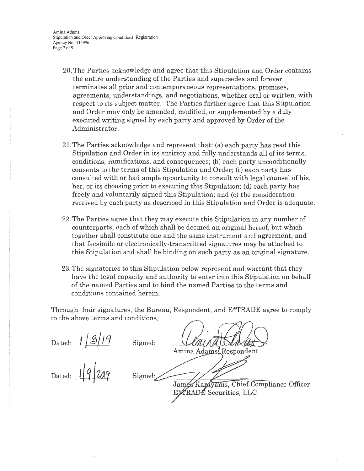Amina Adams Stipulation and Order Approving Conditional Registration Agency No. 335996 Page 7 of 9

- 20. The Parties acknowledge and agree that this Stipulation and Order contains the entire understanding of the Parties and supersedes and forever terminates all prior and contemporaneous representations, promises, agreements, understandings, and negotiations, whether oral or written, with respect to its subject matter. The Parties further agree that this Stipulation and Order may only be amended, modified, or supplemented by a duly executed writing signed by each party and approved by Order of the Administrator.
- 21. The Parties acknowledge and represent that: (a) each party has read this Stipulation and Order in its entirety and fully understands all of its terms, conditions, ramifications, and consequences; (b) each party unconditionally consents to the terms of this Stipulation and Order; (c) each party has consulted with or had ample opportunity to consult with legal counsel of his, her, or its choosing prior to executing this Stipulation; (d) each party has freely and voluntarily signed this Stipulation; and (e) the consideration received by each party as described in this Stipulation and Order is adequate.
- 22. The Parties agree that they may execute this Stipulation in any number of counterparts, each of which shall be deemed an original hereof, but which together shall constitute one and the same instrument and agreement, and that facsimile or electronically-transmitted signatures may be attached to this Stipulation and shall be binding on such party as an original signature.
- 23. The signatories to this Stipulation below represent and warrant that they have the legal capacity and authority to enter into this Stipulation on behalf of the named Parties and to bind the named Parties to the terms and conditions contained herein.

Through their signatures, the Bureau, Respondent, and E\*TRADE agree to comply to the above terms and conditions.

Dated:  $1/3/19$  Signed:

Amina Adams Respondent

Dated:  $\frac{1}{2}$   $\frac{1}{2}$ 

Signed: $\angle$ 

James Karavanis, Chief Compliance Officer EXTRADE Securities, LLC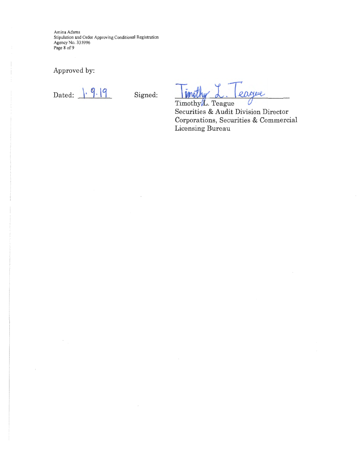Amina Adams Stipulation and Order Approving Conditional Registration Agency No. 335996 Page 8 of 9

# Approved by:

Dated:  $\frac{9.19}{9}$  Signed:

inothy eague

Timothy L. Teague Securities & Audit Division Director Corporations, Securities & Commercial Licensing Bureau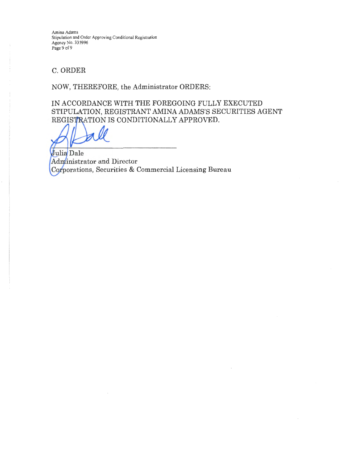Amina Adams Stipulation and Order Approving Conditional Registration Agency No. 335996 Page 9 of 9

C. ORDER

NOW, THEREFORE, the Administrator ORDERS:

IN ACCORDANCE WITH THE FOREGOING FULLY EXECUTED STIPULATION, REGISTRANT AMINA ADAMS'S SECURITIES AGENT REGISTRATION IS CONDITIONALLY APPROVED.

Julia Dale Administrator and Director Corporations, Securities & Commercial Licensing Bureau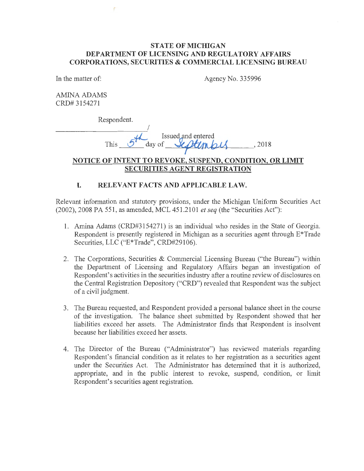### **STATE OF MICHIGAN DEPARTMENT OF LICENSING AND REGULATORY AFFAIRS CORPORATIONS, SECURITIES & COMMERCIAL LICENSING BUREAU**

In the matter of: Agency No. 335996

AMINA ADAMS CRD# 3154271

Respondent.

I ------------<sup>1</sup>/2 Issued and entered This  $5$  day of *& All mbu*, 2018

# **NOTICE OF INTENT TO REVOKE, SUSPEND, CONDITION, OR LIMIT SECURITIES AGENT REGISTRATION**

## **I. RELEVANT FACTS AND APPLICABLE LAW.**

Relevant information and statutory provisions, under the Michigan Uniform Securities Act (2002), 2008 PA 551, as amended, MCL 451.2101 *et seq* (the "Securities Act"):

- 1. Amina Adams (CRD#3154271) is an individual who resides in the State of Georgia. Respondent is presently registered in Michigan as a securities agent through E\*Trade Securities, LLC ("E\*Trade", CRD#29106).
- 2. The Corporations, Securities & Commercial Licensing Bureau ("the Bureau") within the Department of Licensing and Regulatory Affairs began an investigation of Respondent's activities in the securities industry after a routine review of disclosures on the Central Registration Depository ("CRD") revealed that Respondent was the subject of a civil judgment.
- 3. The Bureau requested, and Respondent provided a personal balance sheet in the course of the investigation. The balance sheet submitted by Respondent showed that her liabilities exceed her assets. The Administrator finds that Respondent is insolvent because her liabilities exceed her assets.
- 4. The Director of the Bureau ("Administrator") has reviewed materials regarding Respondent's financial condition as it relates to her registration as a securities agent under the Securities Act. The Administrator has determined that it is authorized, appropriate, and in the public interest to revoke, suspend, condition, or limit Respondent's securities agent registration.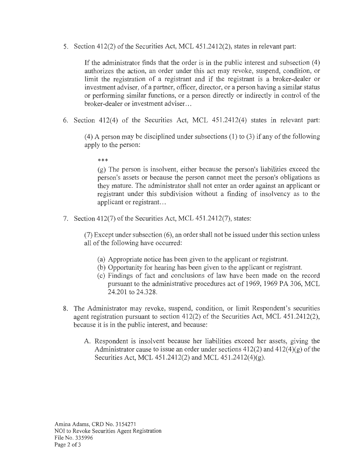5. Section 412(2) of the Securities Act, MCL 451.2412(2), states in relevant part:

If the administrator finds that the order is in the public interest and subsection  $(4)$ authorizes the action, an order under this act may revoke, suspend, condition, or limit the registration of a registrant and if the registrant is a broker-dealer or investment adviser, of a partner, officer, director, or a person having a similar status or performing similar functions, or a person directly or indirectly in control of the broker-dealer or investment adviser ...

6. Section 412(4) of the Securities Act, MCL 451.2412(4) states in relevant part:

(4) A person may be disciplined under subsections (1) to (3) if any of the following apply to the person:

\*\*\*

(g) The person is insolvent, either because the person's liabilities exceed the person's assets or because the person cannot meet the person's obligations as they mature. The administrator shall not enter an order against an applicant or registrant under this subdivision without a finding of insolvency as to the applicant or registrant...

7. Section 412(7) of the Securities Act, MCL 451.2412(7), states:

 $(7)$  Except under subsection  $(6)$ , an order shall not be issued under this section unless all of the following have occurred:

- (a) Appropriate notice has been given to the applicant or registrant.
- (b) Opportunity for hearing has been given to the applicant or registrant.
- ( c) Findings of fact and conclusions of law have been made on the record pursuant to the administrative procedures act of 1969, 1969 PA 306, MCL 24.201 to 24.328.
- 8. The Administrator may revoke, suspend, condition, or limit Respondent's securities agent registration pursuant to section 412(2) of the Securities Act, MCL 451.2412(2), because it is in the public interest, and because:
	- A. Respondent is insolvent because her liabilities exceed her assets, giving the Administrator cause to issue an order under sections  $412(2)$  and  $412(4)(g)$  of the Securities Act, MCL 451.2412(2) and MCL 451.2412(4)(g).